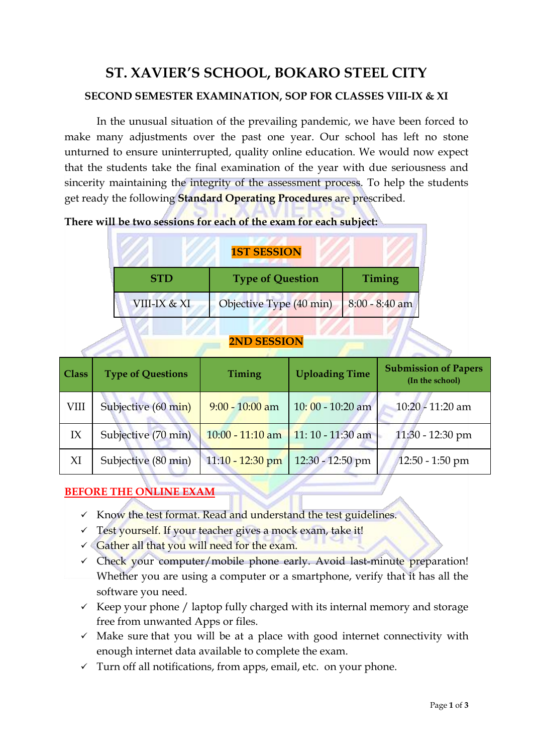# **ST. XAVIER'S SCHOOL, BOKARO STEEL CITY SECOND SEMESTER EXAMINATION, SOP FOR CLASSES VIII-IX & XI**

In the unusual situation of the prevailing pandemic, we have been forced to make many adjustments over the past one year. Our school has left no stone unturned to ensure uninterrupted, quality online education. We would now expect that the students take the final examination of the year with due seriousness and sincerity maintaining the integrity of the assessment process. To help the students get ready the following **Standard Operating Procedures** are prescribed.

| <b>1ST SESSION</b> |                         |                  |  |  |
|--------------------|-------------------------|------------------|--|--|
| <b>STD</b>         | <b>Type of Question</b> | <b>Timing</b>    |  |  |
| VIII-IX & XI       | Objective Type (40 min) | $8:00 - 8:40$ am |  |  |

**There will be two sessions for each of the exam for each subject:**

#### **2ND SESSION**

| <b>Class</b> | <b>Type of Questions</b> | Timing             | <b>Uploading Time</b> | <b>Submission of Papers</b><br>(In the school) |
|--------------|--------------------------|--------------------|-----------------------|------------------------------------------------|
| VIII         | Subjective (60 min)      | $9:00 - 10:00$ am  | $10:00 - 10:20$ am    | $10:20 - 11:20$ am                             |
| IX           | Subjective (70 min)      | $10:00 - 11:10$ am | $11:10 - 11:30$ am    | $11:30 - 12:30$ pm                             |
| XI           | Subjective (80 min)      | $11:10 - 12:30$ pm | 12:30 - 12:50 pm      | $12:50 - 1:50$ pm                              |

## **BEFORE THE ONLINE EXAM**

- ✓ Know the test format. Read and understand the test guidelines.
- $\checkmark$  Test yourself. If your teacher gives a mock exam, take it!
- $\checkmark$  Gather all that you will need for the exam.
- $\checkmark$  Check your computer/mobile phone early. Avoid last-minute preparation! Whether you are using a computer or a smartphone, verify that it has all the software you need.
- $\checkmark$  Keep your phone / laptop fully charged with its internal memory and storage free from unwanted Apps or files.
- $\checkmark$  Make sure that you will be at a place with good internet connectivity with enough internet data available to complete the exam.
- $\checkmark$  Turn off all notifications, from apps, email, etc. on your phone.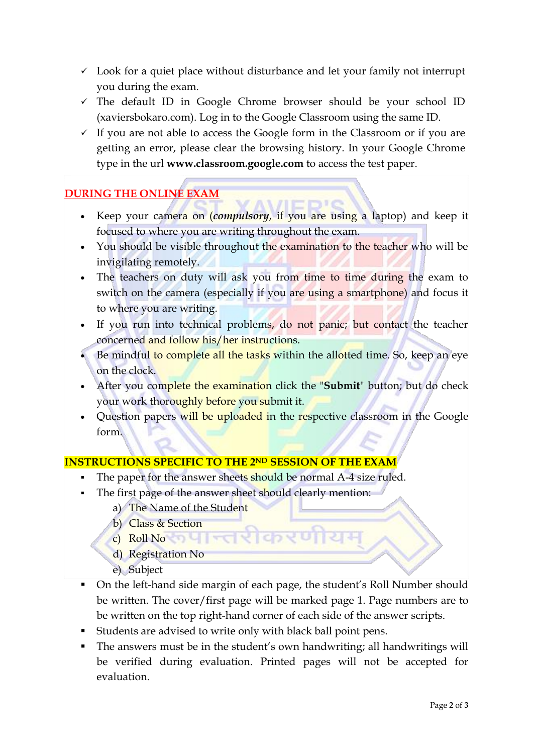- $\checkmark$  Look for a quiet place without disturbance and let your family not interrupt you during the exam.
- ✓ The default ID in Google Chrome browser should be your school ID (xaviersbokaro.com). Log in to the Google Classroom using the same ID.
- $\checkmark$  If you are not able to access the Google form in the Classroom or if you are getting an error, please clear the browsing history. In your Google Chrome type in the url **www.classroom.google.com** to access the test paper.

## **DURING THE ONLINE EXAM**

- Keep your camera on (*compulsory*, if you are using a laptop) and keep it focused to where you are writing throughout the exam.
- You should be visible throughout the examination to the teacher who will be invigilating remotely.
- The teachers on duty will ask you from time to time during the exam to switch on the camera (especially if you are using a smartphone) and focus it to where you are writing.
- If you run into technical problems, do not panic; but contact the teacher concerned and follow his/her instructions.
- Be mindful to complete all the tasks within the allotted time. So, keep an eye on the clock.
- After you complete the examination click the "**Submit**" button; but do check your work thoroughly before you submit it.
- Question papers will be uploaded in the respective classroom in the Google form.

#### **INSTRUCTIONS SPECIFIC TO THE 2ND SESSION OF THE EXAM**

- The paper for the answer sheets should be normal A-4 size ruled.
- The first page of the answer sheet should clearly mention:
	- a) The Name of the Student
	- b) Class & Section
	- c) Roll No College and College and College and College and College and College and College and College and
	- d) Registration No
	- e) Subject
- On the left-hand side margin of each page, the student's Roll Number should be written. The cover/first page will be marked page 1. Page numbers are to be written on the top right-hand corner of each side of the answer scripts.
- Students are advised to write only with black ball point pens.
- The answers must be in the student's own handwriting; all handwritings will be verified during evaluation. Printed pages will not be accepted for evaluation.